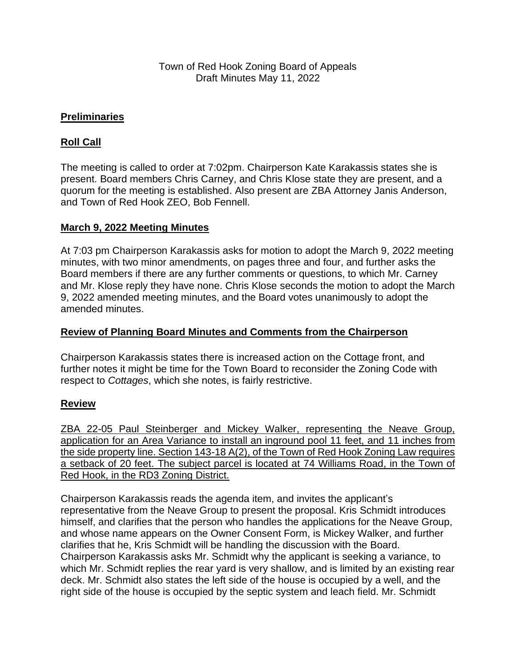## **Preliminaries**

# **Roll Call**

The meeting is called to order at 7:02pm. Chairperson Kate Karakassis states she is present. Board members Chris Carney, and Chris Klose state they are present, and a quorum for the meeting is established. Also present are ZBA Attorney Janis Anderson, and Town of Red Hook ZEO, Bob Fennell.

## **March 9, 2022 Meeting Minutes**

At 7:03 pm Chairperson Karakassis asks for motion to adopt the March 9, 2022 meeting minutes, with two minor amendments, on pages three and four, and further asks the Board members if there are any further comments or questions, to which Mr. Carney and Mr. Klose reply they have none. Chris Klose seconds the motion to adopt the March 9, 2022 amended meeting minutes, and the Board votes unanimously to adopt the amended minutes.

### **Review of Planning Board Minutes and Comments from the Chairperson**

Chairperson Karakassis states there is increased action on the Cottage front, and further notes it might be time for the Town Board to reconsider the Zoning Code with respect to *Cottages*, which she notes, is fairly restrictive.

## **Review**

ZBA 22-05 Paul Steinberger and Mickey Walker, representing the Neave Group, application for an Area Variance to install an inground pool 11 feet, and 11 inches from the side property line. Section 143-18 A(2), of the Town of Red Hook Zoning Law requires a setback of 20 feet. The subject parcel is located at 74 Williams Road, in the Town of Red Hook, in the RD3 Zoning District.

Chairperson Karakassis reads the agenda item, and invites the applicant's representative from the Neave Group to present the proposal. Kris Schmidt introduces himself, and clarifies that the person who handles the applications for the Neave Group, and whose name appears on the Owner Consent Form, is Mickey Walker, and further clarifies that he, Kris Schmidt will be handling the discussion with the Board. Chairperson Karakassis asks Mr. Schmidt why the applicant is seeking a variance, to which Mr. Schmidt replies the rear yard is very shallow, and is limited by an existing rear deck. Mr. Schmidt also states the left side of the house is occupied by a well, and the right side of the house is occupied by the septic system and leach field. Mr. Schmidt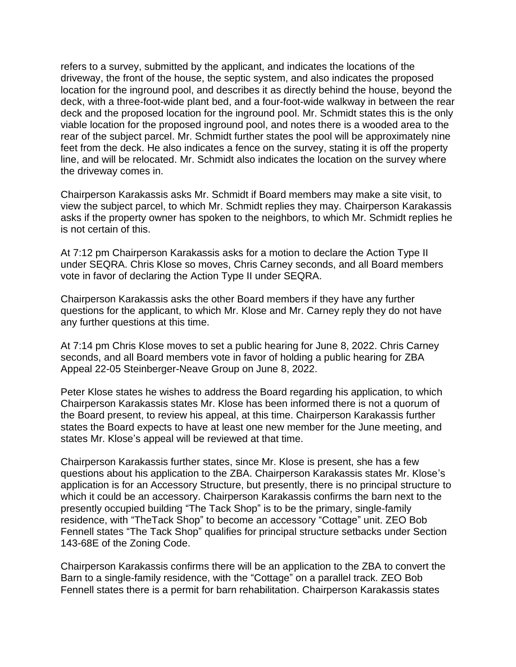refers to a survey, submitted by the applicant, and indicates the locations of the driveway, the front of the house, the septic system, and also indicates the proposed location for the inground pool, and describes it as directly behind the house, beyond the deck, with a three-foot-wide plant bed, and a four-foot-wide walkway in between the rear deck and the proposed location for the inground pool. Mr. Schmidt states this is the only viable location for the proposed inground pool, and notes there is a wooded area to the rear of the subject parcel. Mr. Schmidt further states the pool will be approximately nine feet from the deck. He also indicates a fence on the survey, stating it is off the property line, and will be relocated. Mr. Schmidt also indicates the location on the survey where the driveway comes in.

Chairperson Karakassis asks Mr. Schmidt if Board members may make a site visit, to view the subject parcel, to which Mr. Schmidt replies they may. Chairperson Karakassis asks if the property owner has spoken to the neighbors, to which Mr. Schmidt replies he is not certain of this.

At 7:12 pm Chairperson Karakassis asks for a motion to declare the Action Type II under SEQRA. Chris Klose so moves, Chris Carney seconds, and all Board members vote in favor of declaring the Action Type II under SEQRA.

Chairperson Karakassis asks the other Board members if they have any further questions for the applicant, to which Mr. Klose and Mr. Carney reply they do not have any further questions at this time.

At 7:14 pm Chris Klose moves to set a public hearing for June 8, 2022. Chris Carney seconds, and all Board members vote in favor of holding a public hearing for ZBA Appeal 22-05 Steinberger-Neave Group on June 8, 2022.

Peter Klose states he wishes to address the Board regarding his application, to which Chairperson Karakassis states Mr. Klose has been informed there is not a quorum of the Board present, to review his appeal, at this time. Chairperson Karakassis further states the Board expects to have at least one new member for the June meeting, and states Mr. Klose's appeal will be reviewed at that time.

Chairperson Karakassis further states, since Mr. Klose is present, she has a few questions about his application to the ZBA. Chairperson Karakassis states Mr. Klose's application is for an Accessory Structure, but presently, there is no principal structure to which it could be an accessory. Chairperson Karakassis confirms the barn next to the presently occupied building "The Tack Shop" is to be the primary, single-family residence, with "TheTack Shop" to become an accessory "Cottage" unit. ZEO Bob Fennell states "The Tack Shop" qualifies for principal structure setbacks under Section 143-68E of the Zoning Code.

Chairperson Karakassis confirms there will be an application to the ZBA to convert the Barn to a single-family residence, with the "Cottage" on a parallel track. ZEO Bob Fennell states there is a permit for barn rehabilitation. Chairperson Karakassis states